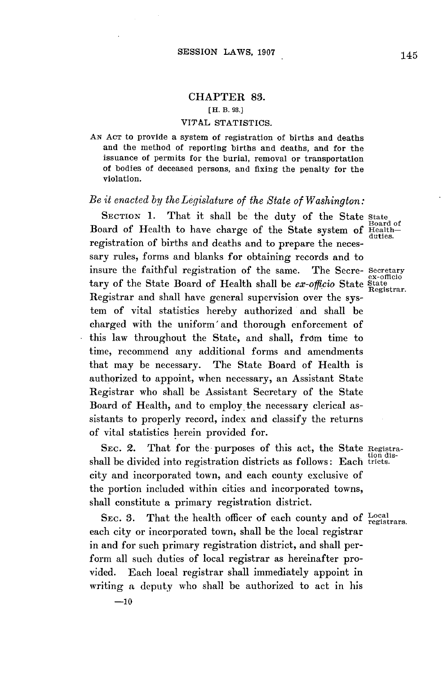# CHAPTER **83.**

#### **[H. B. 93.]**

### VITAL STATISTICS.

**AN ACT** to provide a system of registration of births and deaths and the method of reporting births and deaths, and for the issuance of permits for the burial, removal or transportation of bodies of deceased persons, and fixing the penalty for the violation.

## *Be it enacted by the Legislature of the State of Washington:*

**SECTION 1.** That it shall be the duty of the State state Board of Board of Health to have charge of the State system of Healthregistration of births and deaths and to prepare the necessary rules, forms and blanks for obtaining records and to insure the faithful registration of the same. The Secre- Secretary tary of the State Board of Health shall be *ex-officio* State State Registrar and shall have general supervision over the system of vital statistics hereby authorized and shall be charged with the uniform' and thorough enforcement of this law throughout the State, and shall, from time to time, recommend any additional forms and amendments that may be necessary. The State Board of Health is authorized to appoint, when necessary, an Assistant State Registrar who shall be Assistant Secretary of the State Board of Health, and to employ the necessary clerical assistants to properly record, index and classify the returns of vital statistics herein provided for.

SEc. 2. That for the purposes of this act, the State Registrashall be divided into registration districts as follows: Each tricts. city and incorporated town, and each county exclusive of the portion included within cities and incorporated towns, shall constitute a primary registration district.

SEC. 3. That the health officer of each county and of Local registrars. each city or incorporated town, shall be the local registrar in and for such primary registration district, and shall perform all such duties of local registrar as hereinafter provided. Each local registrar shall immediately appoint in writing a deputy who shall be authorized to act in his

**-10**

duties.

ex-officio Registrar.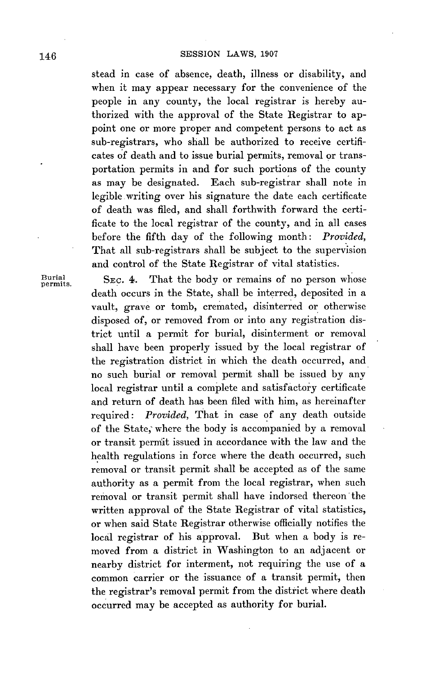stead in case of absence, death, illness or disability, and when it may appear necessary for the convenience of the people in any county, the local registrar is hereby authorized with the approval of the State Registrar to appoint one or more proper and competent persons to act as sub-registrars, who shall be authorized to receive certificates of death and to issue burial permits, removal or transportation permits in and for such portions of the county as may be designated. Each sub-registrar shall note in legible writing over his signature the date each certificate of death was filed, and shall forthwith forward the certificate to the local registrar of the county, and in all cases before the fifth day of the following month: *Provided,* That all sub-registrars shall be subject to the supervision and control of the State Registrar of vital statistics.

Burial. SEC. 4. That the body or remains of no person whose death occurs in the State, shall be interred, deposited in a vault, grave or tomb, cremated, disinterred or otherwise disposed of, or removed from or into any registration district until a permit for burial, disinterment or removal shall have been properly issued **by** the local registrar of the registration district in which the death occurred, and no such burial or removal permit shall be issued **by** any local registrar until a complete and satisfactory certificate and return of death has been filed with him, as hereinafter required: *Provided,* That in case of any death outside of the State; where the body is accompanied **by** a removal or transit permit issued in accordance with the law and the health regulations in force where the death occurred, such removal or transit permit shall be accepted as of the same authority as a permit from the local registrar, when such removal or transit permit shall have indorsed thereon the written approval of the State Registrar of vital statistics, or when said State Registrar otherwise officially notifies the local registrar of his approval. But when a body is removed from a district in Washington to an adjacent or nearby district for interment, not requiring the use of a common carrier or the issuance of a transit permit, then the registrar's removal permit from the district where death occurred may be accepted as authority for burial.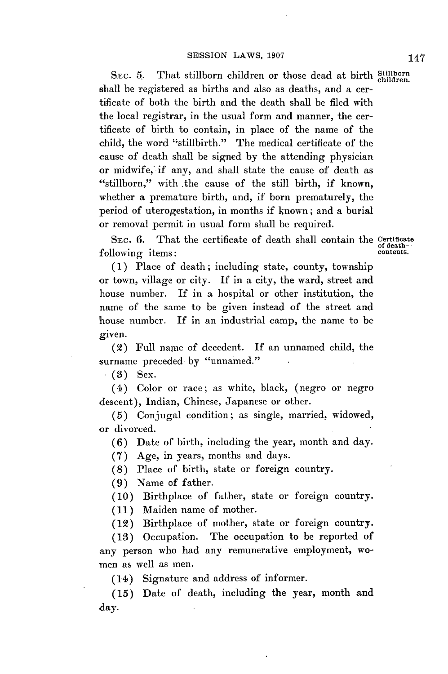**SEC. 5.** That stillborn children or those dead at birth **Stillborn children.** shall be registered as births and also as deaths, and a certificate of both the birth and the death shall be filed with the local registrar, in the usual form and manner, the certificate of birth to contain, in place of the name of the child, the word "stillbirth." The medical certificate of the cause of death shall be signed **by** the attending physician or midwife, if any, and shall state the cause of death as "stillborn," with the cause of the still birth, if known, whether a premature birth, and, if born prematurely, the period of uterogestation, in months if known; and a burial or removal permit in usual form shall be required.

**SEC. 6.** That the certificate of death shall contain the **Certificate of death**following items:

**(1)** Place of death; including state, county, township or town, village or city. **If** in a city, the ward, street and house number. If in a hospital or other institution, the name of the same to be given instead of the street and house number. If in an industrial camp, the name to be given.

(2) Full name of decedent. If an unnamed child, the surname preceded by "unnamed."

**(3)** Sex.

(4) Color or race; as white, black, (negro or negro descent), Indian, Chinese, Japanese or other.

**(5)** Conjugal condition; as single, married, widowed, or divorced.

**(6)** Date of birth, including the year, month and day.

**(7)** Age, in years, months and days.

**(8)** Place of birth, state or foreign country.

**(9)** Name of father.

**(10)** Birthplace of father, state or foreign country.

**(11)** Maiden name of mother.

(12) Birthplace of mother, state or foreign country.

**(13)** Occupation. The occupation to be reported of any person who had any remunerative employment, wo- -men as well as men.

(14) Signature and address of informer.

**(15)** Date of death, including the year, month and day.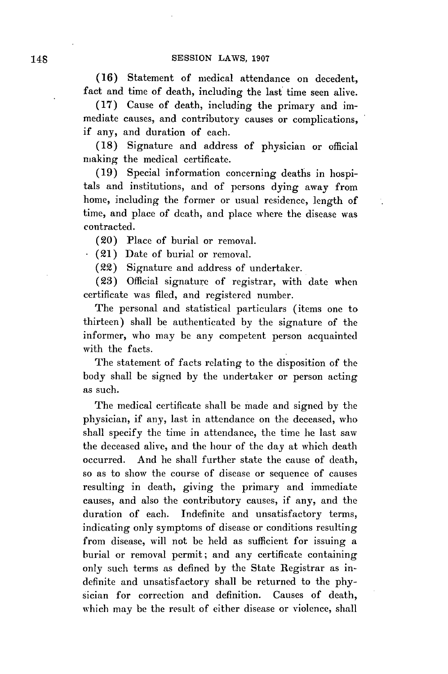**(16)** Statement of medical attendance on decedent, fact and time of death, including the last time seen alive.

**(17)** Cause of death, including the primary and immediate causes, and contributory causes or complications, if any, and duration of each.

**(18)** Signature and address of physician or official making the medical certificate.

**(19)** Special information concerning deaths in hospitals and institutions, and of persons dying away from home, including the former or usual residence, length of time, and place of death, and place where the disease was contracted.

(20) Place of burial or removal.

 $(21)$  Date of burial or removal.

(22) Signature and address of undertaker.

**(23)** Official signature of registrar, with date when certificate was filed, and registered number.

The personal and statistical particulars (items one to thirteen) shall be authenticated **by** the signature of the informer, who may be any competent person acquainted with the facts.

The statement of facts relating to the disposition of the body shall be signed **by** the undertaker or person acting as such.

The medical certificate shall be made and signed **by** the physician, if any, last in attendance on the deceased, who shall specify the time in attendance, the time he last saw the deceased alive, and the hour of the day at which death occurred. And he shall further state the cause of death, so as to show the course of disease or sequence of causes resulting in death, giving the primary and immediate causes, and also the contributory causes, if any, and the duration of each. Indefinite and unsatisfactory terms, indicating only symptoms of disease or conditions resulting from disease, will not be held as sufficient for issuing a burial or removal permit; and any certificate containing only such terms as defined **by** the State Registrar as indefinite and unsatisfactory shall be returned to the **phy**sician for correction and definition. Causes of death, which may be the result of either disease or violence, shall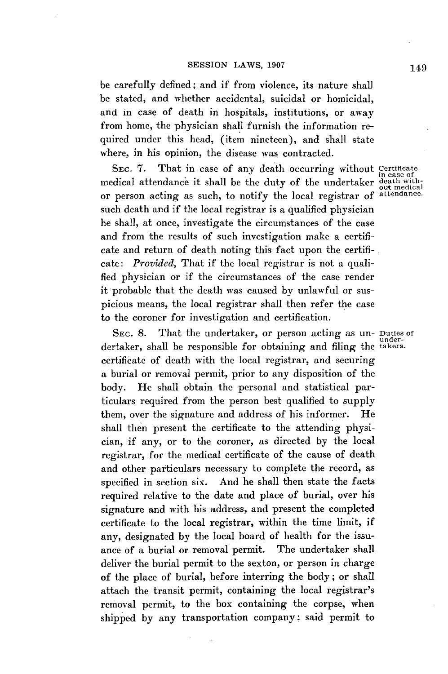be carefully defined; and if from violence, its nature shall be stated, and whether accidental, suicidal or homicidal, and in case of death in hospitals, institutions, or away from home, the physician shall furnish the information required under this head, (item nineteen), and shall state where, in his opinion, the disease was contracted.

SEC. 7. That in case of any death occurring without Certificate in case of the duty of the undertaker death with-<br>medical attendance it shall be the duty of the undertaker death withor person acting as such, to notify the local registrar of attendance. such death and if the local registrar is a qualified physician he shall, at once, investigate the circumstances of the case and from the results of such investigation make a certificate and return of death noting this fact upon the certificate: *Provided,* That if the local registrar is not a qualified physician or if the circumstances of the case render it probable that the death was caused **by** unlawful or suspicious means, the local registrar shall then refer the case to the coroner for investigation and certification.

SEc. **8.** That the undertaker, or person acting as un- Duties of dertaker, shall be responsible for obtaining and filing the takers. certificate of death with the local registrar, and securing a burial or removal permit, prior to any disposition of the body. He shall obtain the personal and statistical particulars required from the person best qualified to supply them, over the signature and address of his informer. He shall then present the certificate to the attending physician, if any, or to the coroner, as directed **by** the local registrar, for the medical certificate of the cause of death and other particulars necessary to complete the record, as specified in section six. And he shall then state the facts required relative to the date and place of burial, over his signature and with his address, and present the completed certificate to the local registrar, within the time limit, if any, designated **by** the local board of health for the issuance of a burial or removal permit. The undertaker shall deliver the burial permit to the sexton, or person in charge of the place of burial, before interring the body; or shall attach the transit permit, containing the local registrar's removal permit, to the box containing the corpse, when shipped **by** any transportation company; said permit to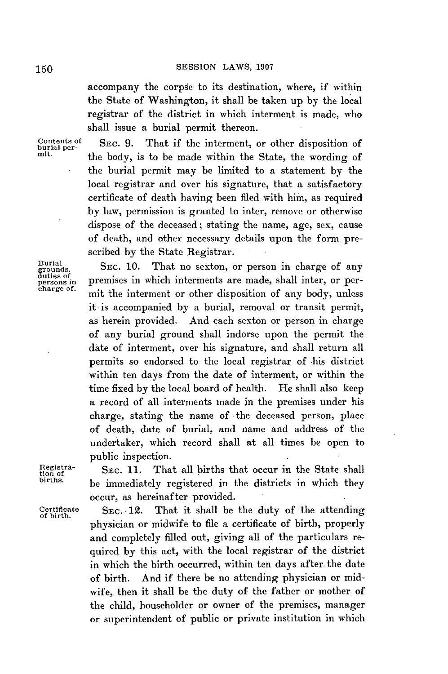accompany the corpse to its destination, where, if within the State of Washington, it shall be taken up **by** the local registrar of the district in which interment is made, who shall issue a burial permit thereon.

Contents of Sec. 9. That if the interment, or other disposition of burial perthe body, is to be made within the State, the wording of the burial permit may be limited to a statement **by** the local registrar and over his signature, that a satisfactory certificate of death having been filed with him, as required **by** law, permission is granted to inter, remove or otherwise dispose of the deceased; stating the name, age, sex, cause of death, and other necessary details upon the form prescribed **by** the State Registrar.

> it is accompanied **by** a burial, removal or transit permit, as herein provided. And each sexton or person in charge of any burial ground shall indorse upon the permit the date of interment, over his signature, and shall return all permits so endorsed to the local registrar of his district within ten days from the date of interment, or within the time fixed **by** the local board of health. He shall also keep a record of all interments made in the premises under his charge, stating the name of the deceased person, place of death, date of burial, and name and address of the undertaker, which record shall at all times be open to

Burial<br>grounds, grounds, **SEC. 10.** That no sexton, or person in charge of any duties **of** persons in premises in which interments are made, shall inter, or perpersons in premises in which interments are made, shall inter, or per-<br>charge of. mit the interment or other disposition of any body, unless

public inspection.

Registra- **SEC. 11.** That all births that occur in the State shall births be immediately registered in the districts in which they occur, as hereinafter provided.

Certificate **SEC. 12.** That it shall be the duty of the attending of birth. physician or midwife to file a certificate of birth, properly and completely filled out, giving all of the particulars required **by** this act, with the local registrar of the district in which the birth occurred, within ten days after. the date of birth. And if there be no attending physician or midwife, then it shall be the duty of the father or mother of the child, householder or owner of the premises, manager or superintendent of public or private institution in which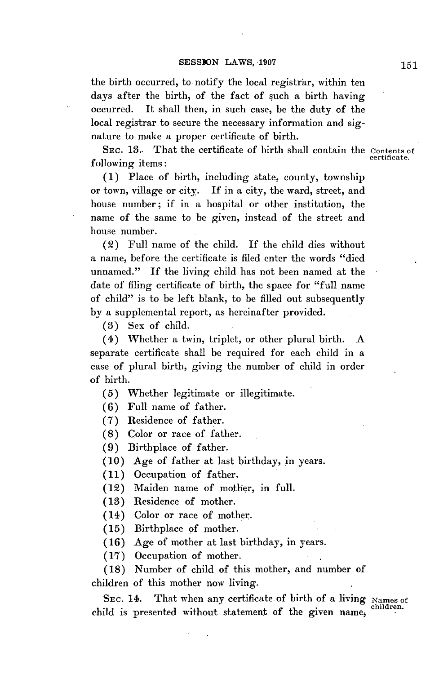the birth occurred, to notify the local registrar, within ten days after the birth, of the fact of such a birth having occurred. It shall then, in such case, be the duty of the local registrar to secure the necessary information and signature to make a proper certificate of birth.

SEC. 13.- That the certificate of birth shall contain the Contents of following items:

**(1)** Place of birth, including state, county, township or town, village or city. If in a city, the ward, street, and house number; if in a hospital or other institution, the name of the same to be given, instead of the street and house number.

(2) Full name of the child. If the child dies without a name, before the certificate is filed enter the words "died unnamed." If the living child has not been named at the date of filing certificate of birth, the space for "full name of child" is to be left blank, to be filled out subsequently **by** a supplemental report, as hereinafter provided.

**(3)** Sex of child.

 $\beta$ 

(4) Whether a twin, triplet, or other plural birth. **A** separate certificate shall be required for each child in a case of plural birth, giving the number of child in order of birth.

**(5)** Whether legitimate or illegitimate.

**(6)** Full name of father.

**(7)** Residence of father.

**(8)** Color or race of father.

**(9)** Birthplace of father.

**(10)** Age of father at last birthday, in years.

**(11)** Occupation of father.

(12) Maiden name of mother, in full.

**(13)** Residence of mother.

(14) Color or race of mother.

**(15)** Birthplace **of** mother.

**(16)** Age of mother at last birthday, in years.

**(17)** Occupation of mother.

**(18)** Number of child of this mother, and number of children of this mother now living.

SEC. 14. That when any certificate of birth of a living Names of child is presented without statement of the given name,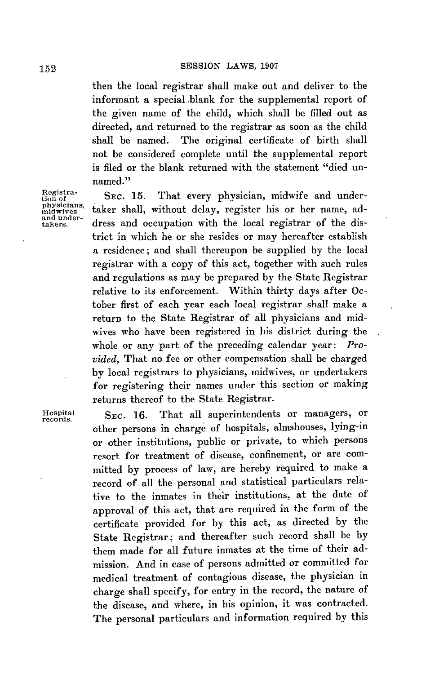then the local registrar shall make out and deliver to the informant a special.blank for the supplemental report of the given name of the child, which shall be filled out as directed, and returned to the registrar as soon as the child shall be named. The original certificate of birth shall not be considered complete until the supplemental report is filed or the blank returned with the statement "died unnamed."

Registra-<br>tion of SEC. 15. Registra-<br>tion of SEC. 15. That every physician, midwife and under-<br>physicians, taker shall, without delay, register his or her name, adtaker shall, without delay, register his or her name, address and occupation with the local registrar of the district in which he or she resides or may hereafter establish a residence; and shall thereupon be supplied **by** the local registrar with a copy of this act, together with such rules and regulations as may be prepared **by** the State Registrar relative to its enforcement. Within thirty days after October first of each year each local registrar shall make a return to the State Registrar of all physicians and midwives who have been registered in his. district during the whole or any part of the preceding calendar year: *Provided,* That no fee or other compensation shall be charged **by** local registrars to physicians, midwives, or undertakers for registering their names under this section or making returns thereof to the State Registrar.

Hospital **SEC. 16.** That all superintendents or managers, or other persons in charge of hospitals, almshouses, lying-in or other institutions, public or private, to which persons resort for treatment of disease, confinement, or are committed **by** process of law, are hereby required to make a record of all the personal and statistical particulars relative to the inmates in their institutions, at the date of approval of this act, that are required in the form of the certificate provided for **by** this act, as directed **by** the State Registrar; and thereafter such record shall be **by** them made for all future inmates at the time of their admission. And in case of persons admitted or committed for medical treatment of contagious disease, the physician in charge shall specify, for entry in the record, the nature of the disease, and where, in his opinion, it was contracted. The personal particulars and information required **by** this

and under-<br>takers.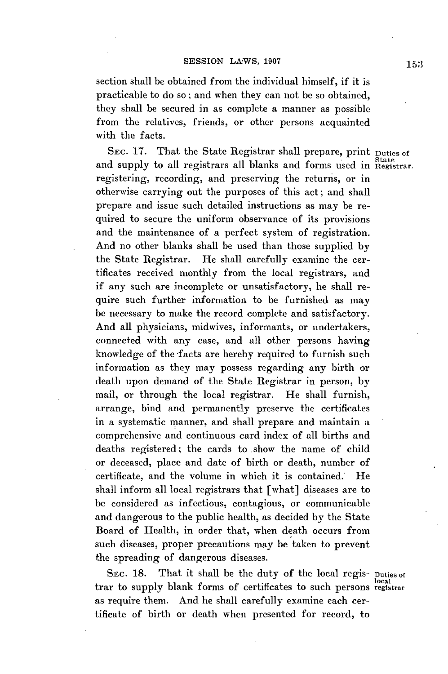section shall be obtained from the individual himself, if it is practicable to do so; and when they can not be so obtained, they shall be secured in as complete a manner as possible from the relatives, friends, or other persons acquainted with the facts.

SEC. **17.** That the State Registrar shall prepare, print Duties **of** and supply to all registrars all blanks and forms used in Registrar. registering, recording, and preserving the returns, or in otherwise carrying out the purposes of this act; and shall prepare and issue such detailed instructions as may be required to secure the uniform observance of its provisions and the maintenance of a perfect system of registration. And no other blanks shall be used than those supplied **by** the State Registrar. He shall carefully examine the certificates received monthly from the local registrars, and **if** any such are incomplete or unsatisfactory, he shall require such further information to be furnished as may be necessary to make the record complete and satisfactory. And all physicians, midwives, informants, or undertakers, connected with any case, and all other persons having knowledge of the facts are hereby required to furnish such information as they may possess regarding any birth or death upon demand of the State Registrar in person, **by** mail, or through the local registrar. He shall furnish, arrange, bind and permanently preserve the certificates in a systematic manner, and shall prepare and maintain a comprehensive and continuous card index of all births and deaths registered; the cards to .show the name of child or deceased, place and date of birth or death, number of certificate, and the volume in which it is contained. He shall inform all local registrars that [what] diseases are to be considered as infectious, contagious, or communicable and dangerous to the public health, as decided **by** the State Board of Health, in order that, when death occurs from such diseases, proper precautions may be taken to prevent the spreading of dangerous diseases.

**SEC. 18.** That it shall be the duty of the local regis- Duties **of** trar to supply blank forms of certificates to such persons registra as require them. And he shall carefully examine each certificate of birth or death when presented for record, to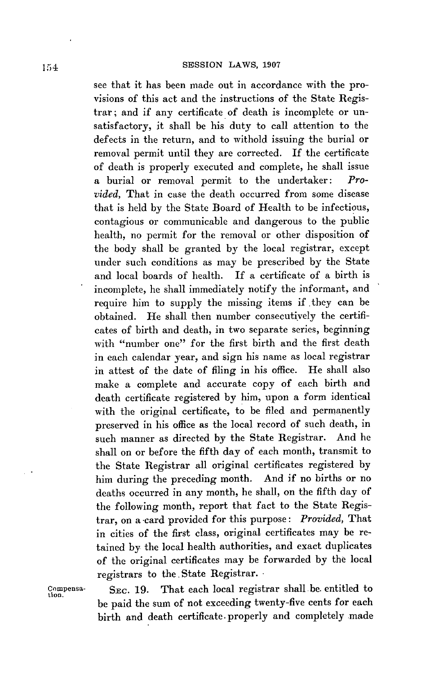see that it has been made out in accordance with the provisions of this act and the instructions of the State Registrar; and if any certificate of death is incomplete or unsatisfactory, it shall be his duty to call attention to the defects in the return, and to withold issuing the burial or removal permit until they are corrected. **If** the certificate of death is properly executed and complete, he shall issue a burial or removal permit to the undertaker: *Provided,* That in case the death occurred from some disease that is held **by** the State Board of Health to be infectious, contagious or communicable and dangerous to the public health, no permit for the removal or other disposition of the body shall be granted **by** the local registrar, except under such conditions as may be prescribed **by** the State and local boards of health. **If** a certificate of a birth is incomplete, he shall immediately notify the informant, and require him to supply the missing items if they can be obtained. He shall then number consecutively the certificates of birth and death, in two separate series, beginning with "number one" for the first birth and the first death in each calendar year, and sign his name as local registrar in attest of the date of filing in his office. He shall also make a complete and accurate copy of each birth and death certificate registered **by** him, upon a form identical with the original certificate, to be filed and permanently preserved in his office as the local record of such death, in such manner as directed **by** the State Registrar. And he shall on or before the fifth day of each month, transmit to the State Registrar all original certificates registered **by** him during the preceding month. And if no births or no deaths occurred in any month, he shall, on the fifth day of the following month, report that fact to the State Registrar, on a -card provided for this purpose: *Provided,* That in cities of the first class, original certificates may be retained **by** the local health authorities, and exact duplicates of the original certificates may be forwarded **by** the local registrars to the State Registrar.

Compensa- SEC. 19. That each local registrar shall be entitled to be paid the sum of not exceeding twenty-five cents for each birth and death certificate. properly and completely made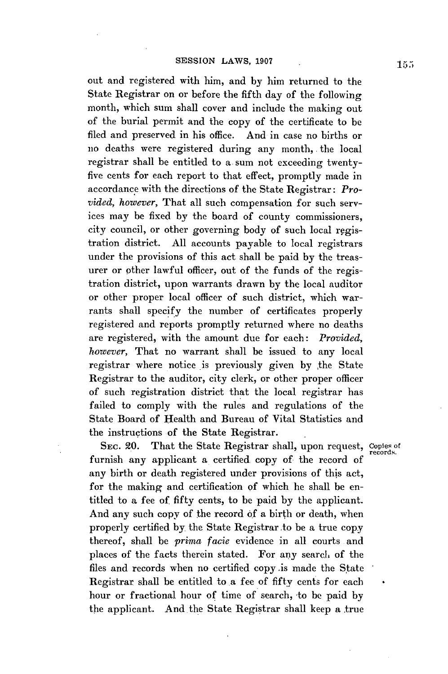out and registered with him, and **by** him returned to the State Registrar on or before the fifth day of the following month, which sum shall cover and include the making out of the burial permit and the copy of the certificate to be filed and preserved in his office. And in case no births or no deaths were registered during any month, the local registrar shall be entitled to a. sum not exceeding twentyfive cents for each report to that effect, promptly made in accordance with the directions of the State Registrar: *Provided, however,* That all such compensation for such services may be fixed **by** the board of county commissioners, city council, or other governing body of such local registration district. **All** accounts payable to local registrars under the provisions of this act shall be paid **by** the treasurer or other lawful officer, out of the funds of the registration district, upon warrants drawn **by** the local auditor or other proper local officer of such district, which warrants shall specify the number of certificates properly registered and reports promptly returned where no deaths are registered, with the amount due for each: *Provided, however,* That no warrant shall be issued to any local registrar where notice is previously given **by** the State Registrar to the auditor, city clerk, or other proper officer of such registration district that the local registrar has failed to comply with the rules and regulations of the State Board of Health and Bureau of Vital Statistics and the instructions of the State Registrar.

SEC. 20. That the State Registrar shall, upon request, Copies of records. furnish any applicant a certified copy of the record *of* any birth or death registered under provisions of this act, for the making and certification **of** which he shall be entitled to a fee of fifty cents, to be paid **by** the applicant. And any such copy of the record **of** a birth or death, when properly certified **by** the State Registrar .to be a true copy thereof, shall be *prima facie* evidence in all courts and places of the facts therein stated. For any search of the files and records when no certified copy .is made the State Registrar shall be entitled to a fee of fifty cents for each hour or fractional hour of time of search, to be paid by the applicant. And the State Registrar shall keep a true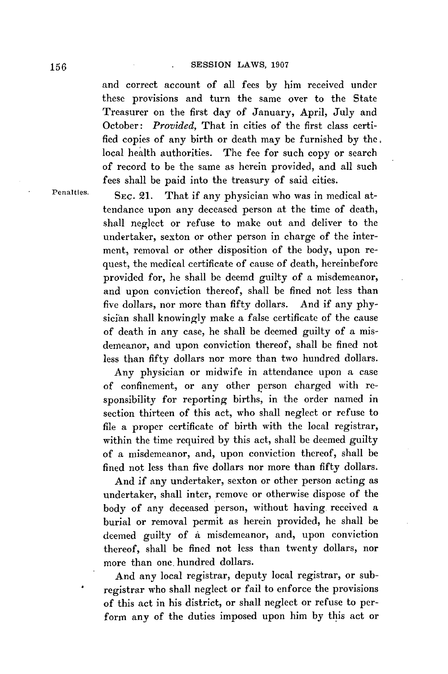and correct account of all fees **by** him received under these provisions and turn the same over to the State Treasurer on the first day of January, April, July and October: *Provided,* That in cities of the first class certified copies of any birth or death may be furnished **by** the: local health authorities. The fee for such copy or search of record to be the same as herein provided, and all such fees shall be paid into the treasury of said cities.

Penalties. **SEC. 21.** That if any physician who was in medical attendance upon any deceased person at the time of death, shall neglect or refuse to make out and deliver to the undertaker, sexton or other person in charge of the interment, removal or other disposition of the body, upon request, the medical certificate of cause of death, hereinbefore provided for, he shall be deemd guilty of a misdemeanor, and upon conviction thereof, shall be fined not less than five dollars, nor more than fifty dollars. And if any **phy**sician shall knowingly make a false certificate of the cause of death in any case, he shall be deemed guilty of a misdemeanor, and upon conviction thereof, shall be fined not less than fifty dollars nor more than two hundred dollars.

> Any physician or midwife in attendance upon a case of confinement, or any other person charged with responsibility for reporting births, in the order named in section thirteen of this act, who shall neglect or refuse to file a proper certificate of birth with the local registrar, within the time required **by** this act, shall be deemed guilty of a misdemeanor, and, upon conviction thereof, shall be fined not less than five dollars nor more than fifty dollars.

> And if any undertaker, sexton or other person acting as undertaker, shall inter, remove or otherwise dispose of the body of any deceased person, without having. received a burial or removal permit as herein provided, he shall be deemed guilty of **a** misdemeanor, and, upon conviction thereof, shall be fined not less than twenty dollars, nor more than one. hundred dollars.

> And any local registrar, deputy local registrar, or subregistrar who shall neglect or fail to enforce the provisions of this act in his district, or shall neglect or refuse to perform any of the duties imposed upon him **by** this act or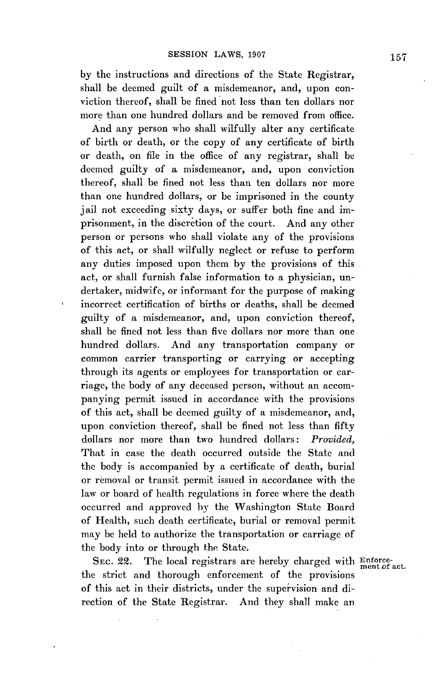**by** the instructions and directions of the State Registrar, shall be deemed guilt of a misdemeanor, and, upon conviction thereof, shall be fined not less than ten dollars nor more than one hundred dollars and be removed from office.

And any person who shall wilfully alter any certificate of birth or death, or the copy of any certificate of birth or death, on file in the office of any registrar, shall be deemed guilty of a misdemeanor, and, upon conviction thereof, shall **be** fined not less than ten dollars nor more than one hundred dollars, or be imprisoned in the county jail not exceeding sixty days, or suffer both fine and imprisonment, in the discretion of the court. And any other person or persons who shall violate any of the provisions of this act, or shall wilfully neglect or refuse to perform any duties imposed upon them **by** the provisions of this act, or shall furnish false information to a physician, undertaker, midwife, or informant for the purpose of making incorrect certification of births or deaths, shall be deemed guilty of a misdemeanor, and, upon conviction thereof, shall be fined not less than five dollars nor more than one hundred dollars. And any transportation company or common carrier transporting or carrying or accepting through its agents or employees for transportation or carriage, the body of any deceased person, without an accompanying permit issued in accordance with the provisions of this act, shall be deemed guilty of a misdemeanor, and, upon conviction thereof, shall be fined not less than fifty dollars nor more than two hundred dollars: *Provided,* That in case the death occurred outside the State and the body is accompanied **by** a certificate of death, burial or removal or transit permit issued in accordance with the law or board of health regulations in force where the death occurred and approved **by** the Washington State Board of Health, such death certificate, burial or removal permit may be held to authorize the transportation or carriage of the body into or through the State.

SEC. 22. The local registrars are hereby charged with Enforcethe strict and thorough enforcement of the provisions of this act in their districts, under the supervision and direction of the State Registrar. And they shall make an